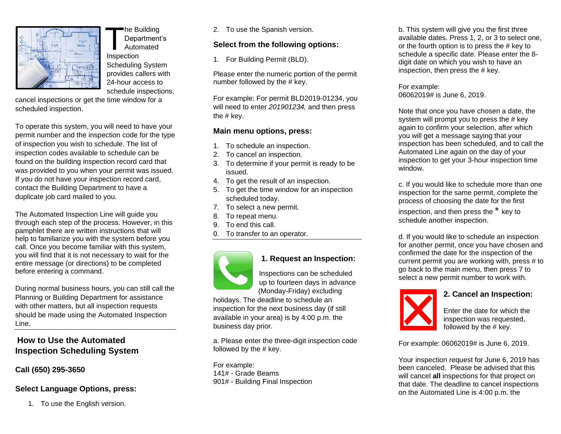

he Building Department's Automated **Inspection** Scheduling System provides callers with 24-hour access to schedule inspections,

cancel inspections or get the time window for a scheduled inspection.

To operate this system, you will need to have your permit number and the inspection code for the type of inspection you wish to schedule. The list of inspection codes available to schedule can be found on the building inspection record card that was provided to you when your permit was issued. If you do not have your inspection record card, contact the Building Department to have a duplicate job card mailed to you.

The Automated Inspection Line will guide you through each step of the process. However, in this pamphlet there are written instructions that will help to familiarize you with the system before you call. Once you become familiar with this system, you will find that it is not necessary to wait for the entire message (or directions) to be completed before entering a command.

During normal business hours, you can still call the Planning or Building Department for assistance with other matters, but all inspection requests should be made using the Automated Inspection Line.

## **How to Use the Automated Inspection Scheduling System**

#### **Call (650) 295-3650**

#### **Select Language Options, press:**

1. To use the English version.

2. To use the Spanish version.

#### **Select from the following options:**

1. For Building Permit (BLD).

Please enter the numeric portion of the permit number followed by the # key.

For example: For permit BLD2019-01234, you will need to enter *201901234,* and then press the # key.

#### **Main menu options, press:**

- 1. To schedule an inspection.
- 2. To cancel an inspection.
- 3. To determine if your permit is ready to be issued.
- 4. To get the result of an inspection.
- 5. To get the time window for an inspection scheduled today.
- 7. To select a new permit.
- 8. To repeat menu.
- 9. To end this call.
- 0. To transfer to an operator.



# **1. Request an Inspection:**

Inspections can be scheduled up to fourteen days in advance (Monday-Friday) excluding

holidays. The deadline to schedule an inspection for the next business day (if still available in your area) is by 4:00 p.m. the business day prior.

a. Please enter the three-digit inspection code followed by the # key.

For example: 141# - Grade Beams 901# - Building Final Inspection b. This system will give you the first three available dates. Press 1, 2, or 3 to select one, or the fourth option is to press the # key to schedule a specific date. Please enter the 8 digit date on which you wish to have an inspection, then press the # key.

For example: 06062019# is June 6, 2019.

Note that once you have chosen a date, the system will prompt you to press the # key again to confirm your selection, after which you will get a message saying that your inspection has been scheduled, and to call the Automated Line again on the day of your inspection to get your 3-hour inspection time window.

c. If you would like to schedule more than one inspection for the same permit, complete the process of choosing the date for the first

inspection, and then press the \* key to schedule another inspection.

d. If you would like to schedule an inspection for another permit, once you have chosen and confirmed the date for the inspection of the current permit you are working with, press # to go back to the main menu, then press 7 to select a new permit number to work with.



**2. Cancel an Inspection:**

Enter the date for which the inspection was requested, followed by the # key.

For example: 06062019# is June 6, 2019.

Your inspection request for June 6, 2019 has been canceled. Please be advised that this will cancel **all** inspections for that project on that date. The deadline to cancel inspections on the Automated Line is 4:00 p.m. the